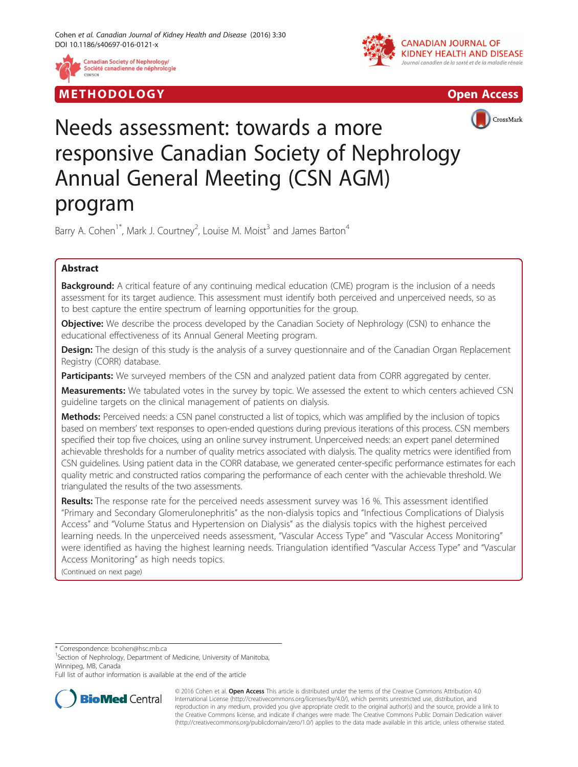

**ETHODOLOGY M** ETHODOLOGY **Open Access** 





# Needs assessment: towards a more responsive Canadian Society of Nephrology Annual General Meeting (CSN AGM) program

Barry A. Cohen<sup>1\*</sup>, Mark J. Courtney<sup>2</sup>, Louise M. Moist<sup>3</sup> and James Barton<sup>4</sup>

# Abstract

Background: A critical feature of any continuing medical education (CME) program is the inclusion of a needs assessment for its target audience. This assessment must identify both perceived and unperceived needs, so as to best capture the entire spectrum of learning opportunities for the group.

**Objective:** We describe the process developed by the Canadian Society of Nephrology (CSN) to enhance the educational effectiveness of its Annual General Meeting program.

**Design:** The design of this study is the analysis of a survey questionnaire and of the Canadian Organ Replacement Registry (CORR) database.

Participants: We surveyed members of the CSN and analyzed patient data from CORR aggregated by center.

Measurements: We tabulated votes in the survey by topic. We assessed the extent to which centers achieved CSN guideline targets on the clinical management of patients on dialysis.

Methods: Perceived needs: a CSN panel constructed a list of topics, which was amplified by the inclusion of topics based on members' text responses to open-ended questions during previous iterations of this process. CSN members specified their top five choices, using an online survey instrument. Unperceived needs: an expert panel determined achievable thresholds for a number of quality metrics associated with dialysis. The quality metrics were identified from CSN guidelines. Using patient data in the CORR database, we generated center-specific performance estimates for each quality metric and constructed ratios comparing the performance of each center with the achievable threshold. We triangulated the results of the two assessments.

Results: The response rate for the perceived needs assessment survey was 16 %. This assessment identified "Primary and Secondary Glomerulonephritis" as the non-dialysis topics and "Infectious Complications of Dialysis Access" and "Volume Status and Hypertension on Dialysis" as the dialysis topics with the highest perceived learning needs. In the unperceived needs assessment, "Vascular Access Type" and "Vascular Access Monitoring" were identified as having the highest learning needs. Triangulation identified "Vascular Access Type" and "Vascular Access Monitoring" as high needs topics.

(Continued on next page)

\* Correspondence: [bcohen@hsc.mb.ca](mailto:bcohen@hsc.mb.ca) <sup>1</sup>

<sup>1</sup>Section of Nephrology, Department of Medicine, University of Manitoba, Winnipeg, MB, Canada

Full list of author information is available at the end of the article



© 2016 Cohen et al. Open Access This article is distributed under the terms of the Creative Commons Attribution 4.0 International License [\(http://creativecommons.org/licenses/by/4.0/](http://creativecommons.org/licenses/by/4.0/)), which permits unrestricted use, distribution, and reproduction in any medium, provided you give appropriate credit to the original author(s) and the source, provide a link to the Creative Commons license, and indicate if changes were made. The Creative Commons Public Domain Dedication waiver [\(http://creativecommons.org/publicdomain/zero/1.0/](http://creativecommons.org/publicdomain/zero/1.0/)) applies to the data made available in this article, unless otherwise stated.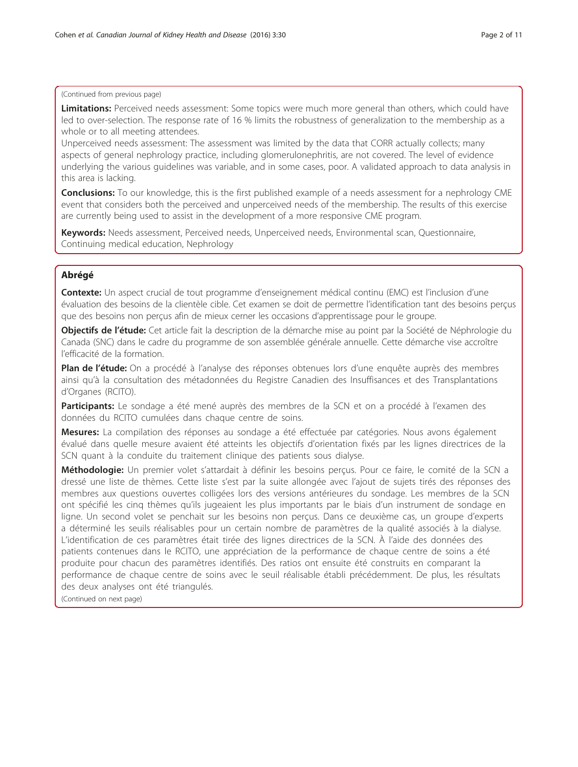## (Continued from previous page)

Limitations: Perceived needs assessment: Some topics were much more general than others, which could have led to over-selection. The response rate of 16 % limits the robustness of generalization to the membership as a whole or to all meeting attendees.

Unperceived needs assessment: The assessment was limited by the data that CORR actually collects; many aspects of general nephrology practice, including glomerulonephritis, are not covered. The level of evidence underlying the various guidelines was variable, and in some cases, poor. A validated approach to data analysis in this area is lacking.

**Conclusions:** To our knowledge, this is the first published example of a needs assessment for a nephrology CME event that considers both the perceived and unperceived needs of the membership. The results of this exercise are currently being used to assist in the development of a more responsive CME program.

Keywords: Needs assessment, Perceived needs, Unperceived needs, Environmental scan, Questionnaire, Continuing medical education, Nephrology

## Abrégé

Contexte: Un aspect crucial de tout programme d'enseignement médical continu (EMC) est l'inclusion d'une évaluation des besoins de la clientèle cible. Cet examen se doit de permettre l'identification tant des besoins perçus que des besoins non perçus afin de mieux cerner les occasions d'apprentissage pour le groupe.

Objectifs de l'étude: Cet article fait la description de la démarche mise au point par la Société de Néphrologie du Canada (SNC) dans le cadre du programme de son assemblée générale annuelle. Cette démarche vise accroître l'efficacité de la formation.

Plan de l'étude: On a procédé à l'analyse des réponses obtenues lors d'une enquête auprès des membres ainsi qu'à la consultation des métadonnées du Registre Canadien des Insuffisances et des Transplantations d'Organes (RCITO).

Participants: Le sondage a été mené auprès des membres de la SCN et on a procédé à l'examen des données du RCITO cumulées dans chaque centre de soins.

Mesures: La compilation des réponses au sondage a été effectuée par catégories. Nous avons également évalué dans quelle mesure avaient été atteints les objectifs d'orientation fixés par les lignes directrices de la SCN quant à la conduite du traitement clinique des patients sous dialyse.

Méthodologie: Un premier volet s'attardait à définir les besoins perçus. Pour ce faire, le comité de la SCN a dressé une liste de thèmes. Cette liste s'est par la suite allongée avec l'ajout de sujets tirés des réponses des membres aux questions ouvertes colligées lors des versions antérieures du sondage. Les membres de la SCN ont spécifié les cinq thèmes qu'ils jugeaient les plus importants par le biais d'un instrument de sondage en ligne. Un second volet se penchait sur les besoins non perçus. Dans ce deuxième cas, un groupe d'experts a déterminé les seuils réalisables pour un certain nombre de paramètres de la qualité associés à la dialyse. L'identification de ces paramètres était tirée des lignes directrices de la SCN. À l'aide des données des patients contenues dans le RCITO, une appréciation de la performance de chaque centre de soins a été produite pour chacun des paramètres identifiés. Des ratios ont ensuite été construits en comparant la performance de chaque centre de soins avec le seuil réalisable établi précédemment. De plus, les résultats des deux analyses ont été triangulés.

(Continued on next page)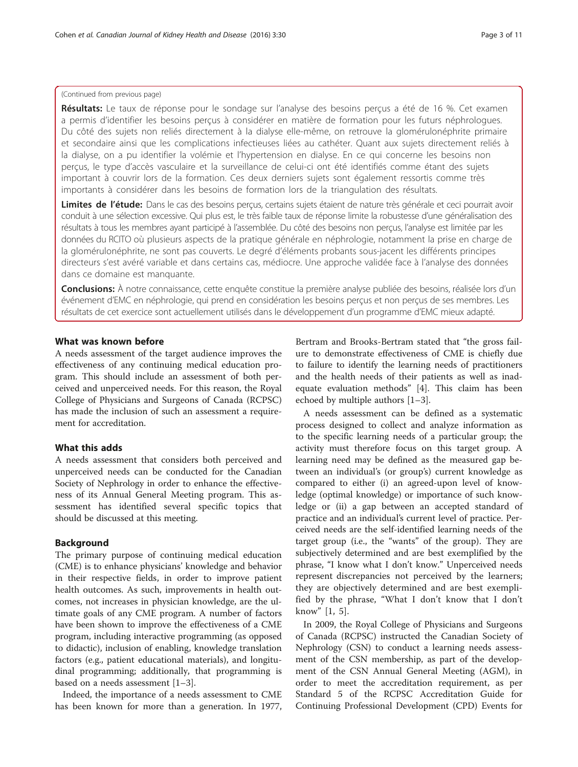## (Continued from previous page)

Résultats: Le taux de réponse pour le sondage sur l'analyse des besoins perçus a été de 16 %. Cet examen a permis d'identifier les besoins perçus à considérer en matière de formation pour les futurs néphrologues. Du côté des sujets non reliés directement à la dialyse elle-même, on retrouve la glomérulonéphrite primaire et secondaire ainsi que les complications infectieuses liées au cathéter. Quant aux sujets directement reliés à la dialyse, on a pu identifier la volémie et l'hypertension en dialyse. En ce qui concerne les besoins non perçus, le type d'accès vasculaire et la surveillance de celui-ci ont été identifiés comme étant des sujets important à couvrir lors de la formation. Ces deux derniers sujets sont également ressortis comme très importants à considérer dans les besoins de formation lors de la triangulation des résultats.

Limites de l'étude: Dans le cas des besoins perçus, certains sujets étaient de nature très générale et ceci pourrait avoir conduit à une sélection excessive. Qui plus est, le très faible taux de réponse limite la robustesse d'une généralisation des résultats à tous les membres ayant participé à l'assemblée. Du côté des besoins non perçus, l'analyse est limitée par les données du RCITO où plusieurs aspects de la pratique générale en néphrologie, notamment la prise en charge de la glomérulonéphrite, ne sont pas couverts. Le degré d'éléments probants sous-jacent les différents principes directeurs s'est avéré variable et dans certains cas, médiocre. Une approche validée face à l'analyse des données dans ce domaine est manquante.

Conclusions: À notre connaissance, cette enquête constitue la première analyse publiée des besoins, réalisée lors d'un événement d'EMC en néphrologie, qui prend en considération les besoins perçus et non perçus de ses membres. Les résultats de cet exercice sont actuellement utilisés dans le développement d'un programme d'EMC mieux adapté.

## What was known before

A needs assessment of the target audience improves the effectiveness of any continuing medical education program. This should include an assessment of both perceived and unperceived needs. For this reason, the Royal College of Physicians and Surgeons of Canada (RCPSC) has made the inclusion of such an assessment a requirement for accreditation.

#### What this adds

A needs assessment that considers both perceived and unperceived needs can be conducted for the Canadian Society of Nephrology in order to enhance the effectiveness of its Annual General Meeting program. This assessment has identified several specific topics that should be discussed at this meeting.

#### Background

The primary purpose of continuing medical education (CME) is to enhance physicians' knowledge and behavior in their respective fields, in order to improve patient health outcomes. As such, improvements in health outcomes, not increases in physician knowledge, are the ultimate goals of any CME program. A number of factors have been shown to improve the effectiveness of a CME program, including interactive programming (as opposed to didactic), inclusion of enabling, knowledge translation factors (e.g., patient educational materials), and longitudinal programming; additionally, that programming is based on a needs assessment [[1](#page-9-0)–[3\]](#page-9-0).

Indeed, the importance of a needs assessment to CME has been known for more than a generation. In 1977,

Bertram and Brooks-Bertram stated that "the gross failure to demonstrate effectiveness of CME is chiefly due to failure to identify the learning needs of practitioners and the health needs of their patients as well as inadequate evaluation methods" [[4](#page-9-0)]. This claim has been echoed by multiple authors [[1](#page-9-0)–[3\]](#page-9-0).

A needs assessment can be defined as a systematic process designed to collect and analyze information as to the specific learning needs of a particular group; the activity must therefore focus on this target group. A learning need may be defined as the measured gap between an individual's (or group's) current knowledge as compared to either (i) an agreed-upon level of knowledge (optimal knowledge) or importance of such knowledge or (ii) a gap between an accepted standard of practice and an individual's current level of practice. Perceived needs are the self-identified learning needs of the target group (i.e., the "wants" of the group). They are subjectively determined and are best exemplified by the phrase, "I know what I don't know." Unperceived needs represent discrepancies not perceived by the learners; they are objectively determined and are best exemplified by the phrase, "What I don't know that I don't know" [\[1](#page-9-0), [5](#page-9-0)].

In 2009, the Royal College of Physicians and Surgeons of Canada (RCPSC) instructed the Canadian Society of Nephrology (CSN) to conduct a learning needs assessment of the CSN membership, as part of the development of the CSN Annual General Meeting (AGM), in order to meet the accreditation requirement, as per Standard 5 of the RCPSC Accreditation Guide for Continuing Professional Development (CPD) Events for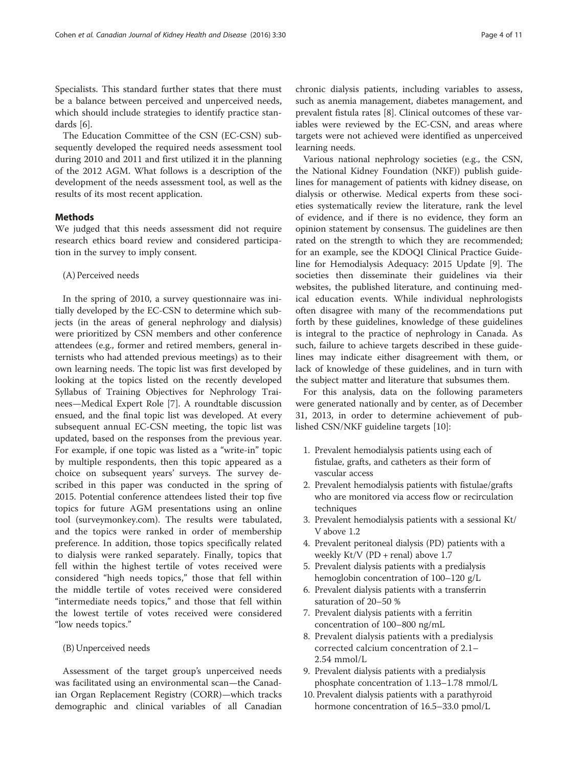Specialists. This standard further states that there must be a balance between perceived and unperceived needs, which should include strategies to identify practice standards [\[6\]](#page-9-0).

The Education Committee of the CSN (EC-CSN) subsequently developed the required needs assessment tool during 2010 and 2011 and first utilized it in the planning of the 2012 AGM. What follows is a description of the development of the needs assessment tool, as well as the results of its most recent application.

### Methods

We judged that this needs assessment did not require research ethics board review and considered participation in the survey to imply consent.

(A) Perceived needs

In the spring of 2010, a survey questionnaire was initially developed by the EC-CSN to determine which subjects (in the areas of general nephrology and dialysis) were prioritized by CSN members and other conference attendees (e.g., former and retired members, general internists who had attended previous meetings) as to their own learning needs. The topic list was first developed by looking at the topics listed on the recently developed Syllabus of Training Objectives for Nephrology Trainees—Medical Expert Role [[7\]](#page-9-0). A roundtable discussion ensued, and the final topic list was developed. At every subsequent annual EC-CSN meeting, the topic list was updated, based on the responses from the previous year. For example, if one topic was listed as a "write-in" topic by multiple respondents, then this topic appeared as a choice on subsequent years' surveys. The survey described in this paper was conducted in the spring of 2015. Potential conference attendees listed their top five topics for future AGM presentations using an online tool (surveymonkey.com). The results were tabulated, and the topics were ranked in order of membership preference. In addition, those topics specifically related to dialysis were ranked separately. Finally, topics that fell within the highest tertile of votes received were considered "high needs topics," those that fell within the middle tertile of votes received were considered "intermediate needs topics," and those that fell within the lowest tertile of votes received were considered "low needs topics."

(B) Unperceived needs

Assessment of the target group's unperceived needs was facilitated using an environmental scan—the Canadian Organ Replacement Registry (CORR)—which tracks demographic and clinical variables of all Canadian

chronic dialysis patients, including variables to assess, such as anemia management, diabetes management, and prevalent fistula rates [\[8](#page-10-0)]. Clinical outcomes of these variables were reviewed by the EC-CSN, and areas where targets were not achieved were identified as unperceived learning needs.

Various national nephrology societies (e.g., the CSN, the National Kidney Foundation (NKF)) publish guidelines for management of patients with kidney disease, on dialysis or otherwise. Medical experts from these societies systematically review the literature, rank the level of evidence, and if there is no evidence, they form an opinion statement by consensus. The guidelines are then rated on the strength to which they are recommended; for an example, see the KDOQI Clinical Practice Guideline for Hemodialysis Adequacy: 2015 Update [[9\]](#page-10-0). The societies then disseminate their guidelines via their websites, the published literature, and continuing medical education events. While individual nephrologists often disagree with many of the recommendations put forth by these guidelines, knowledge of these guidelines is integral to the practice of nephrology in Canada. As such, failure to achieve targets described in these guidelines may indicate either disagreement with them, or lack of knowledge of these guidelines, and in turn with the subject matter and literature that subsumes them.

For this analysis, data on the following parameters were generated nationally and by center, as of December 31, 2013, in order to determine achievement of published CSN/NKF guideline targets [[10](#page-10-0)]:

- 1. Prevalent hemodialysis patients using each of fistulae, grafts, and catheters as their form of vascular access
- 2. Prevalent hemodialysis patients with fistulae/grafts who are monitored via access flow or recirculation techniques
- 3. Prevalent hemodialysis patients with a sessional Kt/ V above 1.2
- 4. Prevalent peritoneal dialysis (PD) patients with a weekly Kt/V (PD + renal) above 1.7
- 5. Prevalent dialysis patients with a predialysis hemoglobin concentration of 100–120 g/L
- 6. Prevalent dialysis patients with a transferrin saturation of 20–50 %
- 7. Prevalent dialysis patients with a ferritin concentration of 100–800 ng/mL
- 8. Prevalent dialysis patients with a predialysis corrected calcium concentration of 2.1– 2.54 mmol/L
- 9. Prevalent dialysis patients with a predialysis phosphate concentration of 1.13–1.78 mmol/L
- 10. Prevalent dialysis patients with a parathyroid hormone concentration of 16.5–33.0 pmol/L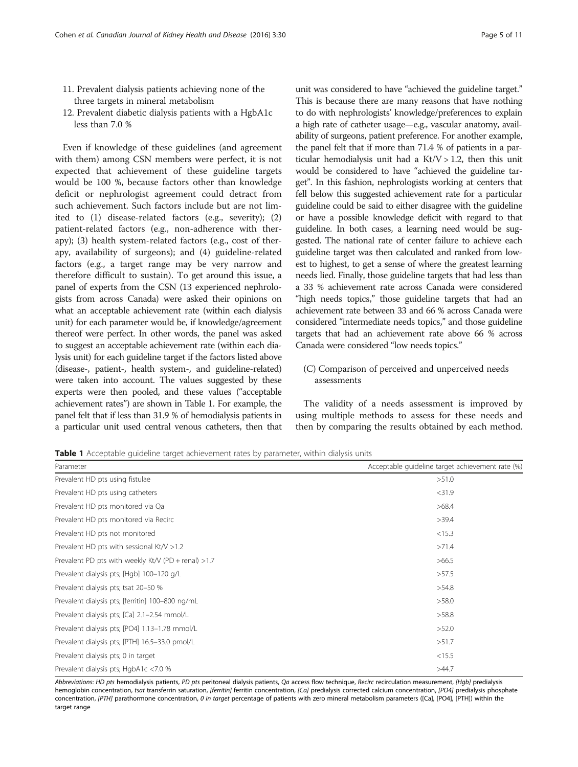- 11. Prevalent dialysis patients achieving none of the three targets in mineral metabolism
- 12. Prevalent diabetic dialysis patients with a HgbA1c less than 7.0 %

Even if knowledge of these guidelines (and agreement with them) among CSN members were perfect, it is not expected that achievement of these guideline targets would be 100 %, because factors other than knowledge deficit or nephrologist agreement could detract from such achievement. Such factors include but are not limited to (1) disease-related factors (e.g., severity); (2) patient-related factors (e.g., non-adherence with therapy); (3) health system-related factors (e.g., cost of therapy, availability of surgeons); and (4) guideline-related factors (e.g., a target range may be very narrow and therefore difficult to sustain). To get around this issue, a panel of experts from the CSN (13 experienced nephrologists from across Canada) were asked their opinions on what an acceptable achievement rate (within each dialysis unit) for each parameter would be, if knowledge/agreement thereof were perfect. In other words, the panel was asked to suggest an acceptable achievement rate (within each dialysis unit) for each guideline target if the factors listed above (disease-, patient-, health system-, and guideline-related) were taken into account. The values suggested by these experts were then pooled, and these values ("acceptable achievement rates") are shown in Table 1. For example, the panel felt that if less than 31.9 % of hemodialysis patients in a particular unit used central venous catheters, then that

unit was considered to have "achieved the guideline target." This is because there are many reasons that have nothing to do with nephrologists' knowledge/preferences to explain a high rate of catheter usage—e.g., vascular anatomy, availability of surgeons, patient preference. For another example, the panel felt that if more than 71.4 % of patients in a particular hemodialysis unit had a  $Kt/V > 1.2$ , then this unit would be considered to have "achieved the guideline target". In this fashion, nephrologists working at centers that fell below this suggested achievement rate for a particular guideline could be said to either disagree with the guideline or have a possible knowledge deficit with regard to that guideline. In both cases, a learning need would be suggested. The national rate of center failure to achieve each guideline target was then calculated and ranked from lowest to highest, to get a sense of where the greatest learning needs lied. Finally, those guideline targets that had less than a 33 % achievement rate across Canada were considered "high needs topics," those guideline targets that had an achievement rate between 33 and 66 % across Canada were considered "intermediate needs topics," and those guideline targets that had an achievement rate above 66 % across Canada were considered "low needs topics."

(C) Comparison of perceived and unperceived needs assessments

The validity of a needs assessment is improved by using multiple methods to assess for these needs and then by comparing the results obtained by each method.

Table 1 Acceptable guideline target achievement rates by parameter, within dialysis units

| Parameter                                           | Acceptable quideline target achievement rate (%) |
|-----------------------------------------------------|--------------------------------------------------|
| Prevalent HD pts using fistulae                     | >51.0                                            |
| Prevalent HD pts using catheters                    | $<$ 31.9                                         |
| Prevalent HD pts monitored via Qa                   | >68.4                                            |
| Prevalent HD pts monitored via Recirc               | >39.4                                            |
| Prevalent HD pts not monitored                      | < 15.3                                           |
| Prevalent HD pts with sessional Kt/V >1.2           | >71.4                                            |
| Prevalent PD pts with weekly Kt/V (PD + renal) >1.7 | >66.5                                            |
| Prevalent dialysis pts; [Hgb] 100-120 g/L           | >57.5                                            |
| Prevalent dialysis pts; tsat 20-50 %                | >54.8                                            |
| Prevalent dialysis pts; [ferritin] 100-800 ng/mL    | >58.0                                            |
| Prevalent dialysis pts; [Ca] 2.1-2.54 mmol/L        | >58.8                                            |
| Prevalent dialysis pts; [PO4] 1.13-1.78 mmol/L      | >52.0                                            |
| Prevalent dialysis pts; [PTH] 16.5-33.0 pmol/L      | >51.7                                            |
| Prevalent dialysis pts; 0 in target                 | <15.5                                            |
| Prevalent dialysis pts; HgbA1c <7.0 %               | >44.7                                            |

Abbreviations: HD pts hemodialysis patients, PD pts peritoneal dialysis patients, Qa access flow technique, Recirc recirculation measurement, [Hgb] predialysis hemoglobin concentration, tsat transferrin saturation, [ferritin] ferritin concentration, [Ca] predialysis corrected calcium concentration, [PO4] predialysis phosphate concentration, [PTH] parathormone concentration, 0 in target percentage of patients with zero mineral metabolism parameters ([Ca], [PO4], [PTH]) within the target range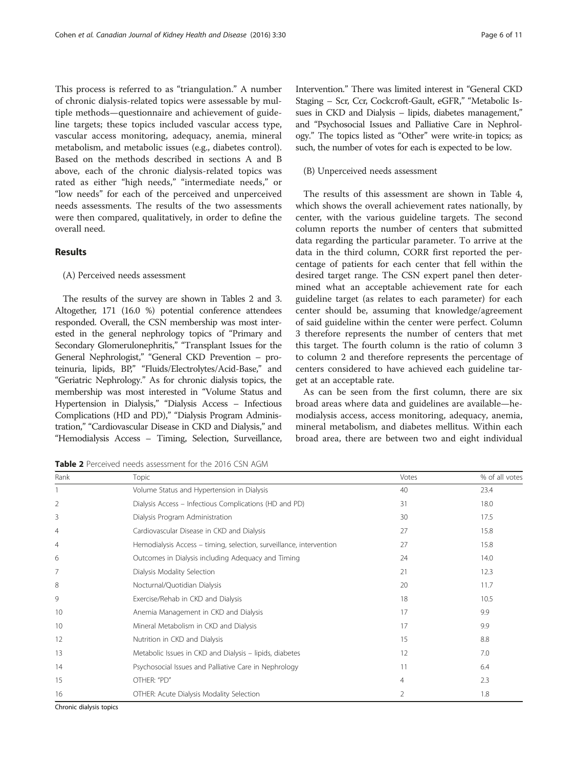This process is referred to as "triangulation." A number of chronic dialysis-related topics were assessable by multiple methods—questionnaire and achievement of guideline targets; these topics included vascular access type, vascular access monitoring, adequacy, anemia, mineral metabolism, and metabolic issues (e.g., diabetes control). Based on the methods described in sections A and B above, each of the chronic dialysis-related topics was rated as either "high needs," "intermediate needs," or "low needs" for each of the perceived and unperceived needs assessments. The results of the two assessments were then compared, qualitatively, in order to define the overall need.

### Results

#### (A) Perceived needs assessment

The results of the survey are shown in Tables 2 and [3](#page-6-0). Altogether, 171 (16.0 %) potential conference attendees responded. Overall, the CSN membership was most interested in the general nephrology topics of "Primary and Secondary Glomerulonephritis," "Transplant Issues for the General Nephrologist," "General CKD Prevention – proteinuria, lipids, BP," "Fluids/Electrolytes/Acid-Base," and "Geriatric Nephrology." As for chronic dialysis topics, the membership was most interested in "Volume Status and Hypertension in Dialysis," "Dialysis Access – Infectious Complications (HD and PD)," "Dialysis Program Administration," "Cardiovascular Disease in CKD and Dialysis," and "Hemodialysis Access – Timing, Selection, Surveillance,

Table 2 Perceived needs assessment for the 2016 CSN AGM

Intervention." There was limited interest in "General CKD Staging - Scr, Ccr, Cockcroft-Gault, eGFR," "Metabolic Issues in CKD and Dialysis – lipids, diabetes management," and "Psychosocial Issues and Palliative Care in Nephrology." The topics listed as "Other" were write-in topics; as such, the number of votes for each is expected to be low.

#### (B) Unperceived needs assessment

The results of this assessment are shown in Table [4](#page-7-0), which shows the overall achievement rates nationally, by center, with the various guideline targets. The second column reports the number of centers that submitted data regarding the particular parameter. To arrive at the data in the third column, CORR first reported the percentage of patients for each center that fell within the desired target range. The CSN expert panel then determined what an acceptable achievement rate for each guideline target (as relates to each parameter) for each center should be, assuming that knowledge/agreement of said guideline within the center were perfect. Column 3 therefore represents the number of centers that met this target. The fourth column is the ratio of column 3 to column 2 and therefore represents the percentage of centers considered to have achieved each guideline target at an acceptable rate.

As can be seen from the first column, there are six broad areas where data and guidelines are available—hemodialysis access, access monitoring, adequacy, anemia, mineral metabolism, and diabetes mellitus. Within each broad area, there are between two and eight individual

| Rank           | Topic                                                               | Votes          | % of all votes |
|----------------|---------------------------------------------------------------------|----------------|----------------|
|                | Volume Status and Hypertension in Dialysis                          | 40             | 23.4           |
| $\overline{2}$ | Dialysis Access - Infectious Complications (HD and PD)              | 31             | 18.0           |
| 3              | Dialysis Program Administration                                     | 30             | 17.5           |
| 4              | Cardiovascular Disease in CKD and Dialysis                          | 27             | 15.8           |
| 4              | Hemodialysis Access - timing, selection, surveillance, intervention | 27             | 15.8           |
| 6              | Outcomes in Dialysis including Adequacy and Timing                  | 24             | 14.0           |
| 7              | Dialysis Modality Selection                                         | 21             | 12.3           |
| 8              | Nocturnal/Quotidian Dialysis                                        | 20             | 11.7           |
| 9              | Exercise/Rehab in CKD and Dialysis                                  | 18             | 10.5           |
| 10             | Anemia Management in CKD and Dialysis                               | 17             | 9.9            |
| 10             | Mineral Metabolism in CKD and Dialysis                              | 17             | 9.9            |
| 12             | Nutrition in CKD and Dialysis                                       | 15             | 8.8            |
| 13             | Metabolic Issues in CKD and Dialysis - lipids, diabetes             | 12             | 7.0            |
| 14             | Psychosocial Issues and Palliative Care in Nephrology               | 11             | 6.4            |
| 15             | OTHER: "PD"                                                         | $\overline{4}$ | 2.3            |
| 16             | OTHER: Acute Dialysis Modality Selection                            | 2              | 1.8            |
|                |                                                                     |                |                |

Chronic dialysis topics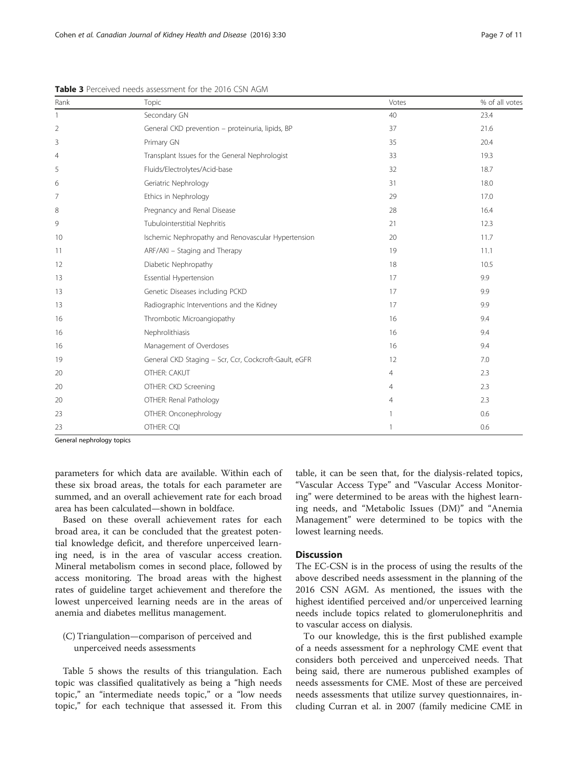| Rank           | Topic                                                 | Votes          | % of all votes |
|----------------|-------------------------------------------------------|----------------|----------------|
| 1              | Secondary GN                                          | 40             | 23.4           |
| 2              | General CKD prevention - proteinuria, lipids, BP      | 37             | 21.6           |
| 3              | Primary GN                                            | 35             | 20.4           |
| $\overline{4}$ | Transplant Issues for the General Nephrologist        | 33             | 19.3           |
| 5              | Fluids/Electrolytes/Acid-base                         | 32             | 18.7           |
| 6              | Geriatric Nephrology                                  | 31             | 18.0           |
| 7              | Ethics in Nephrology                                  | 29             | 17.0           |
| 8              | Pregnancy and Renal Disease                           | 28             | 16.4           |
| 9              | Tubulointerstitial Nephritis                          | 21             | 12.3           |
| 10             | Ischemic Nephropathy and Renovascular Hypertension    | 20             | 11.7           |
| 11             | ARF/AKI - Staging and Therapy                         | 19             | 11.1           |
| 12             | Diabetic Nephropathy                                  | 18             | 10.5           |
| 13             | Essential Hypertension                                | 17             | 9.9            |
| 13             | Genetic Diseases including PCKD                       | 17             | 9.9            |
| 13             | Radiographic Interventions and the Kidney             | 17             | 9.9            |
| 16             | Thrombotic Microangiopathy                            | 16             | 9.4            |
| 16             | Nephrolithiasis                                       | 16             | 9.4            |
| 16             | Management of Overdoses                               | 16             | 9.4            |
| 19             | General CKD Staging - Scr, Ccr, Cockcroft-Gault, eGFR | 12             | 7.0            |
| 20             | OTHER: CAKUT                                          | $\overline{4}$ | 2.3            |
| 20             | OTHER: CKD Screening                                  | $\overline{4}$ | 2.3            |
| 20             | OTHER: Renal Pathology                                | 4              | 2.3            |
| 23             | OTHER: Onconephrology                                 | 1              | 0.6            |
| 23             | OTHER: CQI                                            | 1              | 0.6            |

<span id="page-6-0"></span>Table 3 Perceived needs assessment for the 2016 CSN AGM

General nephrology topics

parameters for which data are available. Within each of these six broad areas, the totals for each parameter are summed, and an overall achievement rate for each broad area has been calculated—shown in boldface.

Based on these overall achievement rates for each broad area, it can be concluded that the greatest potential knowledge deficit, and therefore unperceived learning need, is in the area of vascular access creation. Mineral metabolism comes in second place, followed by access monitoring. The broad areas with the highest rates of guideline target achievement and therefore the lowest unperceived learning needs are in the areas of anemia and diabetes mellitus management.

## (C) Triangulation—comparison of perceived and unperceived needs assessments

Table [5](#page-8-0) shows the results of this triangulation. Each topic was classified qualitatively as being a "high needs topic," an "intermediate needs topic," or a "low needs topic," for each technique that assessed it. From this

table, it can be seen that, for the dialysis-related topics, "Vascular Access Type" and "Vascular Access Monitoring" were determined to be areas with the highest learning needs, and "Metabolic Issues (DM)" and "Anemia Management" were determined to be topics with the lowest learning needs.

## **Discussion**

The EC-CSN is in the process of using the results of the above described needs assessment in the planning of the 2016 CSN AGM. As mentioned, the issues with the highest identified perceived and/or unperceived learning needs include topics related to glomerulonephritis and to vascular access on dialysis.

To our knowledge, this is the first published example of a needs assessment for a nephrology CME event that considers both perceived and unperceived needs. That being said, there are numerous published examples of needs assessments for CME. Most of these are perceived needs assessments that utilize survey questionnaires, including Curran et al. in 2007 (family medicine CME in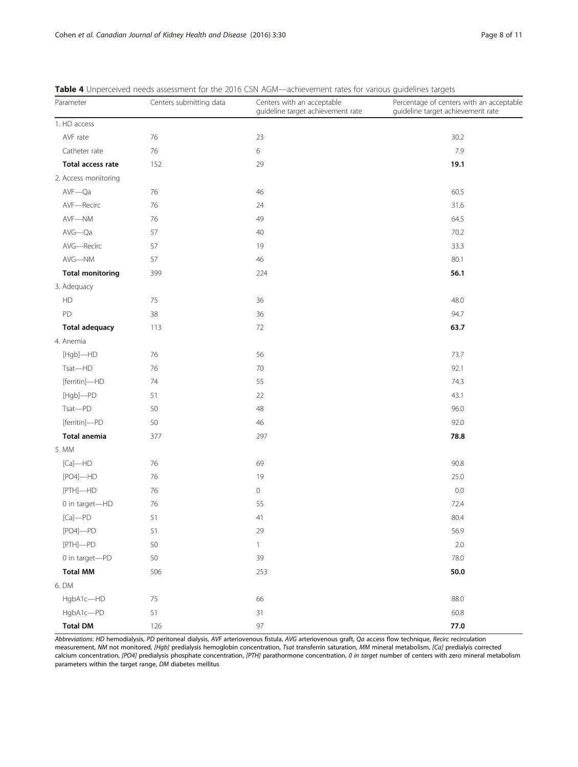| Parameter                             | Centers submitting data | Centers with an acceptable<br>guideline target achievement rate | Percentage of centers with an acceptable<br>guideline target achievement rate |  |
|---------------------------------------|-------------------------|-----------------------------------------------------------------|-------------------------------------------------------------------------------|--|
| 1. HD access                          |                         |                                                                 |                                                                               |  |
| AVF rate                              | 76                      | 23                                                              | 30.2                                                                          |  |
| Catheter rate                         | 76                      | 6                                                               | 7.9                                                                           |  |
| Total access rate                     | 152                     | 29                                                              | 19.1                                                                          |  |
| 2. Access monitoring                  |                         |                                                                 |                                                                               |  |
| AVF-Qa                                | 76                      | 46                                                              | 60.5                                                                          |  |
| AVF-Recirc                            | 76                      | 24                                                              | 31.6                                                                          |  |
| AVF-NM                                | 76                      | 49                                                              | 64.5                                                                          |  |
| AVG-Qa                                | 57                      | 40                                                              | 70.2                                                                          |  |
| AVG-Recirc                            | 57                      | 19                                                              | 33.3                                                                          |  |
| AVG-NM                                | 57                      | 46                                                              | 80.1                                                                          |  |
| <b>Total monitoring</b>               | 399                     | 224                                                             | 56.1                                                                          |  |
| 3. Adequacy                           |                         |                                                                 |                                                                               |  |
| HD                                    | 75                      | 36                                                              | 48.0                                                                          |  |
| PD                                    | 38                      | 36                                                              | 94.7                                                                          |  |
| <b>Total adequacy</b>                 | 113                     | 72                                                              | 63.7                                                                          |  |
| 4. Anemia                             |                         |                                                                 |                                                                               |  |
| [Hgb]-HD                              | 76                      | 56                                                              | 73.7                                                                          |  |
| Tsat-HD                               | 76                      | $70\,$                                                          | 92.1                                                                          |  |
| [ferritin]-HD                         | 74                      | 55                                                              | 74.3                                                                          |  |
| [Hgb]-PD                              | 51                      | 22                                                              | 43.1                                                                          |  |
| Tsat-PD                               | 50                      | $48\,$                                                          | 96.0                                                                          |  |
| [ferritin]-PD                         | 50                      | 46                                                              | 92.0                                                                          |  |
| <b>Total anemia</b>                   | 377                     | 297                                                             | 78.8                                                                          |  |
| 5. MM                                 |                         |                                                                 |                                                                               |  |
| $[Ca]$ -HD                            | 76                      | 69                                                              | 90.8                                                                          |  |
| $[PO4]$ -HD                           | 76                      | 19                                                              | 25.0                                                                          |  |
| [PTH]-HD                              | 76                      | $\mathbb O$                                                     | $0.0\,$                                                                       |  |
| 0 in target-HD                        | 76                      | 55                                                              | 72.4                                                                          |  |
| $[Ca]$ -PD                            | 51                      | 41                                                              | 80.4                                                                          |  |
| $[\mathsf{PO4}]\text{---}\mathsf{PD}$ | $51\,$                  | 29                                                              | 56.9                                                                          |  |
| $[PTH]$ -PD                           | 50                      | $\mathbf{1}$                                                    | 2.0                                                                           |  |
| 0 in target-PD                        | 50                      | 39                                                              | 78.0                                                                          |  |
| <b>Total MM</b>                       | 506                     | 253                                                             | $50.0\,$                                                                      |  |
| 6. DM                                 |                         |                                                                 |                                                                               |  |
| HgbA1c-HD                             | $75\,$                  | 66                                                              | 88.0                                                                          |  |
| HgbA1c-PD                             | 51                      | 31                                                              | 60.8                                                                          |  |
| <b>Total DM</b>                       | 126                     | 97                                                              | 77.0                                                                          |  |

<span id="page-7-0"></span>

| <b>Table 4</b> Unperceived needs assessment for the 2016 CSN AGM—achievement rates for various quidelines targets |  |  |  |  |
|-------------------------------------------------------------------------------------------------------------------|--|--|--|--|
|                                                                                                                   |  |  |  |  |

Abbreviations: HD hemodialysis, PD peritoneal dialysis, AVF arteriovenous fistula, AVG arteriovenous graft, Qa access flow technique, Recirc recirculation measurement, NM not monitored, [Hgb] predialysis hemoglobin concentration, Tsat transferrin saturation, MM mineral metabolism, [Ca] predialyis corrected calcium concentration, [PO4] predialysis phosphate concentration, [PTH] parathormone concentration, 0 in target number of centers with zero mineral metabolism parameters within the target range, DM diabetes mellitus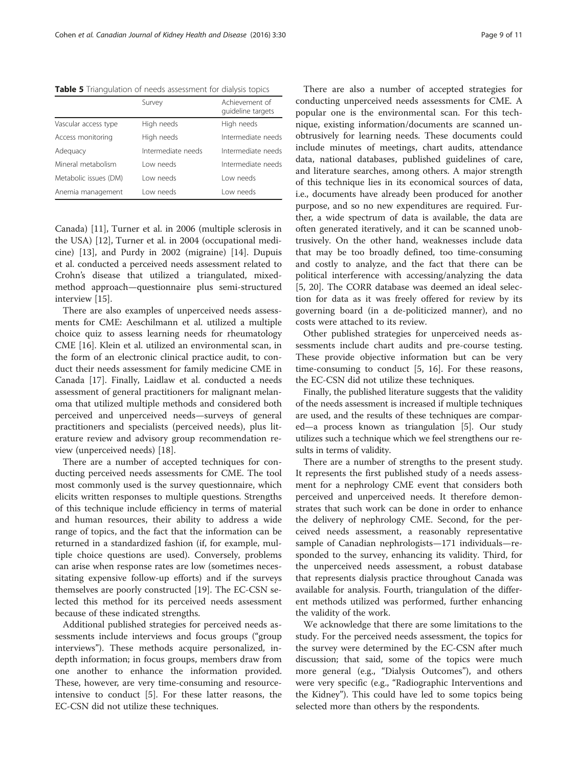<span id="page-8-0"></span>Table 5 Triangulation of needs assessment for dialysis topics

|                       | Survey             | Achievement of<br>guideline targets |
|-----------------------|--------------------|-------------------------------------|
| Vascular access type  | High needs         | High needs                          |
| Access monitoring     | High needs         | Intermediate needs                  |
| Adequacy              | Intermediate needs | Intermediate needs                  |
| Mineral metabolism    | I ow needs         | Intermediate needs                  |
| Metabolic issues (DM) | I ow needs         | Low needs                           |
| Anemia management     | I ow needs         | I ow needs                          |

Canada) [[11\]](#page-10-0), Turner et al. in 2006 (multiple sclerosis in the USA) [\[12](#page-10-0)], Turner et al. in 2004 (occupational medicine) [[13\]](#page-10-0), and Purdy in 2002 (migraine) [\[14\]](#page-10-0). Dupuis et al. conducted a perceived needs assessment related to Crohn's disease that utilized a triangulated, mixedmethod approach—questionnaire plus semi-structured interview [[15](#page-10-0)].

There are also examples of unperceived needs assessments for CME: Aeschilmann et al. utilized a multiple choice quiz to assess learning needs for rheumatology CME [\[16](#page-10-0)]. Klein et al. utilized an environmental scan, in the form of an electronic clinical practice audit, to conduct their needs assessment for family medicine CME in Canada [\[17\]](#page-10-0). Finally, Laidlaw et al. conducted a needs assessment of general practitioners for malignant melanoma that utilized multiple methods and considered both perceived and unperceived needs—surveys of general practitioners and specialists (perceived needs), plus literature review and advisory group recommendation review (unperceived needs) [\[18\]](#page-10-0).

There are a number of accepted techniques for conducting perceived needs assessments for CME. The tool most commonly used is the survey questionnaire, which elicits written responses to multiple questions. Strengths of this technique include efficiency in terms of material and human resources, their ability to address a wide range of topics, and the fact that the information can be returned in a standardized fashion (if, for example, multiple choice questions are used). Conversely, problems can arise when response rates are low (sometimes necessitating expensive follow-up efforts) and if the surveys themselves are poorly constructed [\[19](#page-10-0)]. The EC-CSN selected this method for its perceived needs assessment because of these indicated strengths.

Additional published strategies for perceived needs assessments include interviews and focus groups ("group interviews"). These methods acquire personalized, indepth information; in focus groups, members draw from one another to enhance the information provided. These, however, are very time-consuming and resourceintensive to conduct [[5\]](#page-9-0). For these latter reasons, the EC-CSN did not utilize these techniques.

There are also a number of accepted strategies for conducting unperceived needs assessments for CME. A popular one is the environmental scan. For this technique, existing information/documents are scanned unobtrusively for learning needs. These documents could include minutes of meetings, chart audits, attendance data, national databases, published guidelines of care, and literature searches, among others. A major strength of this technique lies in its economical sources of data, i.e., documents have already been produced for another purpose, and so no new expenditures are required. Further, a wide spectrum of data is available, the data are often generated iteratively, and it can be scanned unobtrusively. On the other hand, weaknesses include data that may be too broadly defined, too time-consuming and costly to analyze, and the fact that there can be political interference with accessing/analyzing the data [[5,](#page-9-0) [20](#page-10-0)]. The CORR database was deemed an ideal selection for data as it was freely offered for review by its governing board (in a de-politicized manner), and no costs were attached to its review.

Other published strategies for unperceived needs assessments include chart audits and pre-course testing. These provide objective information but can be very time-consuming to conduct [[5,](#page-9-0) [16](#page-10-0)]. For these reasons, the EC-CSN did not utilize these techniques.

Finally, the published literature suggests that the validity of the needs assessment is increased if multiple techniques are used, and the results of these techniques are compared—a process known as triangulation [\[5](#page-9-0)]. Our study utilizes such a technique which we feel strengthens our results in terms of validity.

There are a number of strengths to the present study. It represents the first published study of a needs assessment for a nephrology CME event that considers both perceived and unperceived needs. It therefore demonstrates that such work can be done in order to enhance the delivery of nephrology CME. Second, for the perceived needs assessment, a reasonably representative sample of Canadian nephrologists—171 individuals—responded to the survey, enhancing its validity. Third, for the unperceived needs assessment, a robust database that represents dialysis practice throughout Canada was available for analysis. Fourth, triangulation of the different methods utilized was performed, further enhancing the validity of the work.

We acknowledge that there are some limitations to the study. For the perceived needs assessment, the topics for the survey were determined by the EC-CSN after much discussion; that said, some of the topics were much more general (e.g., "Dialysis Outcomes"), and others were very specific (e.g., "Radiographic Interventions and the Kidney"). This could have led to some topics being selected more than others by the respondents.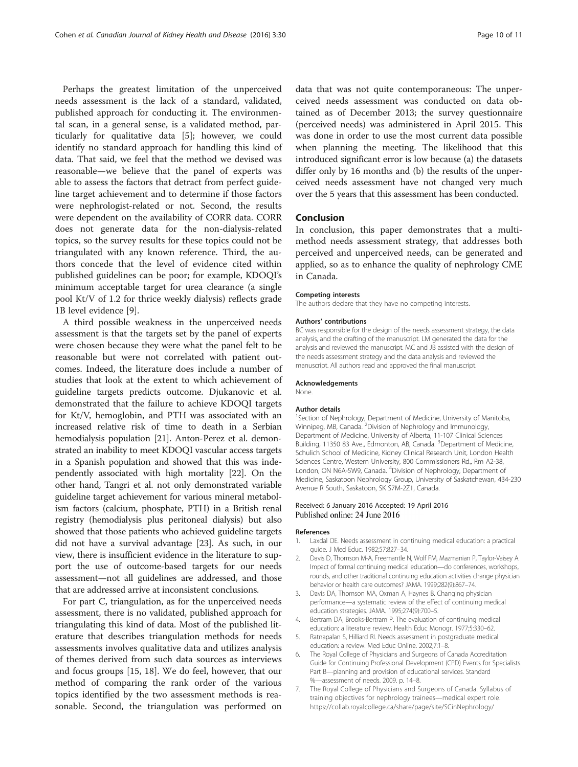<span id="page-9-0"></span>Perhaps the greatest limitation of the unperceived needs assessment is the lack of a standard, validated, published approach for conducting it. The environmental scan, in a general sense, is a validated method, particularly for qualitative data [5]; however, we could identify no standard approach for handling this kind of data. That said, we feel that the method we devised was reasonable—we believe that the panel of experts was able to assess the factors that detract from perfect guideline target achievement and to determine if those factors were nephrologist-related or not. Second, the results were dependent on the availability of CORR data. CORR does not generate data for the non-dialysis-related topics, so the survey results for these topics could not be triangulated with any known reference. Third, the authors concede that the level of evidence cited within published guidelines can be poor; for example, KDOQI's minimum acceptable target for urea clearance (a single pool Kt/V of 1.2 for thrice weekly dialysis) reflects grade 1B level evidence [\[9](#page-10-0)].

A third possible weakness in the unperceived needs assessment is that the targets set by the panel of experts were chosen because they were what the panel felt to be reasonable but were not correlated with patient outcomes. Indeed, the literature does include a number of studies that look at the extent to which achievement of guideline targets predicts outcome. Djukanovic et al. demonstrated that the failure to achieve KDOQI targets for Kt/V, hemoglobin, and PTH was associated with an increased relative risk of time to death in a Serbian hemodialysis population [[21](#page-10-0)]. Anton-Perez et al. demonstrated an inability to meet KDOQI vascular access targets in a Spanish population and showed that this was independently associated with high mortality [\[22\]](#page-10-0). On the other hand, Tangri et al. not only demonstrated variable guideline target achievement for various mineral metabolism factors (calcium, phosphate, PTH) in a British renal registry (hemodialysis plus peritoneal dialysis) but also showed that those patients who achieved guideline targets did not have a survival advantage [\[23](#page-10-0)]. As such, in our view, there is insufficient evidence in the literature to support the use of outcome-based targets for our needs assessment—not all guidelines are addressed, and those that are addressed arrive at inconsistent conclusions.

For part C, triangulation, as for the unperceived needs assessment, there is no validated, published approach for triangulating this kind of data. Most of the published literature that describes triangulation methods for needs assessments involves qualitative data and utilizes analysis of themes derived from such data sources as interviews and focus groups [[15, 18\]](#page-10-0). We do feel, however, that our method of comparing the rank order of the various topics identified by the two assessment methods is reasonable. Second, the triangulation was performed on data that was not quite contemporaneous: The unperceived needs assessment was conducted on data obtained as of December 2013; the survey questionnaire (perceived needs) was administered in April 2015. This was done in order to use the most current data possible when planning the meeting. The likelihood that this introduced significant error is low because (a) the datasets differ only by 16 months and (b) the results of the unperceived needs assessment have not changed very much over the 5 years that this assessment has been conducted.

#### Conclusion

In conclusion, this paper demonstrates that a multimethod needs assessment strategy, that addresses both perceived and unperceived needs, can be generated and applied, so as to enhance the quality of nephrology CME in Canada.

#### Competing interests

The authors declare that they have no competing interests.

#### Authors' contributions

BC was responsible for the design of the needs assessment strategy, the data analysis, and the drafting of the manuscript. LM generated the data for the analysis and reviewed the manuscript. MC and JB assisted with the design of the needs assessment strategy and the data analysis and reviewed the manuscript. All authors read and approved the final manuscript.

#### Acknowledgements

None.

#### Author details

<sup>1</sup>Section of Nephrology, Department of Medicine, University of Manitoba, Winnipeg, MB, Canada. <sup>2</sup> Division of Nephrology and Immunology Department of Medicine, University of Alberta, 11-107 Clinical Sciences Building, 11350 83 Ave., Edmonton, AB, Canada. <sup>3</sup>Department of Medicine Schulich School of Medicine, Kidney Clinical Research Unit, London Health Sciences Centre, Western University, 800 Commissioners Rd., Rm A2-38, London, ON N6A-5W9, Canada. <sup>4</sup>Division of Nephrology, Department of Medicine, Saskatoon Nephrology Group, University of Saskatchewan, 434-230 Avenue R South, Saskatoon, SK S7M-2Z1, Canada.

#### Received: 6 January 2016 Accepted: 19 April 2016 Published online: 24 June 2016

#### References

- 1. Laxdal OE. Needs assessment in continuing medical education: a practical guide. J Med Educ. 1982;57:827–34.
- 2. Davis D, Thomson M-A, Freemantle N, Wolf FM, Mazmanian P, Taylor-Vaisey A. Impact of formal continuing medical education—do conferences, workshops, rounds, and other traditional continuing education activities change physician behavior or health care outcomes? JAMA. 1999;282(9):867–74.
- 3. Davis DA, Thomson MA, Oxman A, Haynes B. Changing physician performance—a systematic review of the effect of continuing medical education strategies. JAMA. 1995;274(9):700–5.
- 4. Bertram DA, Brooks-Bertram P. The evaluation of continuing medical education: a literature review. Health Educ Monogr. 1977;5:330–62.
- 5. Ratnapalan S, Hilliard RI. Needs assessment in postgraduate medical education: a review. Med Educ Online. 2002;7:1–8.
- 6. The Royal College of Physicians and Surgeons of Canada Accreditation Guide for Continuing Professional Development (CPD) Events for Specialists. Part B—planning and provision of educational services. Standard %—assessment of needs. 2009. p. 14–8.
- 7. The Royal College of Physicians and Surgeons of Canada. Syllabus of training objectives for nephrology trainees—medical expert role. [https://collab.royalcollege.ca/share/page/site/SCinNephrology/](https://collab.royalcollege.ca/share/page/site/SCinNephrology/document-details?nodeRef=workspace://SpacesStore/ic56037a-12el-4c5c-9342-860ceaf564)